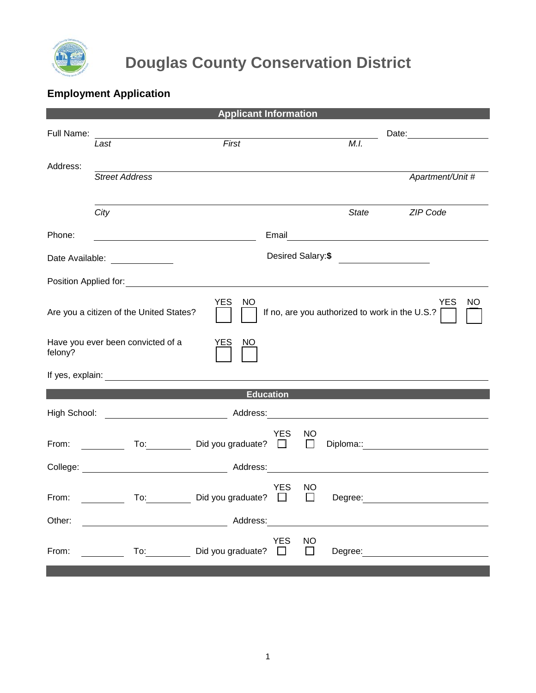

# **Douglas County Conservation District**

# **Employment Application**

| <b>Applicant Information</b>                                                                                                                                                                                                   |                                   |                       |                      |                     |              |                                             |  |  |
|--------------------------------------------------------------------------------------------------------------------------------------------------------------------------------------------------------------------------------|-----------------------------------|-----------------------|----------------------|---------------------|--------------|---------------------------------------------|--|--|
| Full Name:                                                                                                                                                                                                                     |                                   |                       |                      |                     |              | Date:                                       |  |  |
|                                                                                                                                                                                                                                | Last                              | First                 |                      |                     | M.I.         |                                             |  |  |
| Address:                                                                                                                                                                                                                       | <b>Street Address</b>             |                       |                      |                     |              | Apartment/Unit #                            |  |  |
|                                                                                                                                                                                                                                | City                              |                       |                      |                     | <b>State</b> | ZIP Code                                    |  |  |
| Phone:                                                                                                                                                                                                                         |                                   |                       | Email                |                     |              |                                             |  |  |
| Desired Salary:\$<br>Date Available: ______________<br><u> 1980 - Jan Stein Stein Stein Stein Stein Stein Stein Stein Stein Stein Stein Stein Stein Stein Stein Stein S</u>                                                    |                                   |                       |                      |                     |              |                                             |  |  |
| Position Applied for: Note that the problem of the problem of the problem of the problem of the problem of the problem of the problem of the problem of the problem of the problem of the problem of the problem of the proble |                                   |                       |                      |                     |              |                                             |  |  |
| <b>YES</b><br><b>NO</b><br><b>YES</b><br><b>NO</b><br>If no, are you authorized to work in the U.S.?<br>Are you a citizen of the United States?                                                                                |                                   |                       |                      |                     |              |                                             |  |  |
| Have you ever been convicted of a<br>YES<br>NΟ<br>felony?                                                                                                                                                                      |                                   |                       |                      |                     |              |                                             |  |  |
|                                                                                                                                                                                                                                |                                   |                       |                      |                     |              |                                             |  |  |
| <b>Education</b>                                                                                                                                                                                                               |                                   |                       |                      |                     |              |                                             |  |  |
| High School:                                                                                                                                                                                                                   | Address:                          |                       |                      |                     |              | <u> 1980 - Jan Samuel Barbara, martin d</u> |  |  |
| From:                                                                                                                                                                                                                          | <u>and the state</u>              | To: Did you graduate? | <b>YES</b><br>$\Box$ | <b>NO</b><br>$\Box$ |              |                                             |  |  |
|                                                                                                                                                                                                                                |                                   | Address:              |                      |                     |              |                                             |  |  |
| From:                                                                                                                                                                                                                          | To:                               | Did you graduate?     | <b>YES</b>           | <b>NO</b><br>$\Box$ | Degree:      |                                             |  |  |
| Other:                                                                                                                                                                                                                         |                                   |                       |                      |                     |              |                                             |  |  |
| From:                                                                                                                                                                                                                          | University of Did you graduate? □ |                       | <b>YES</b>           | <b>NO</b>           |              | $\Box$ Degree: $\Box$                       |  |  |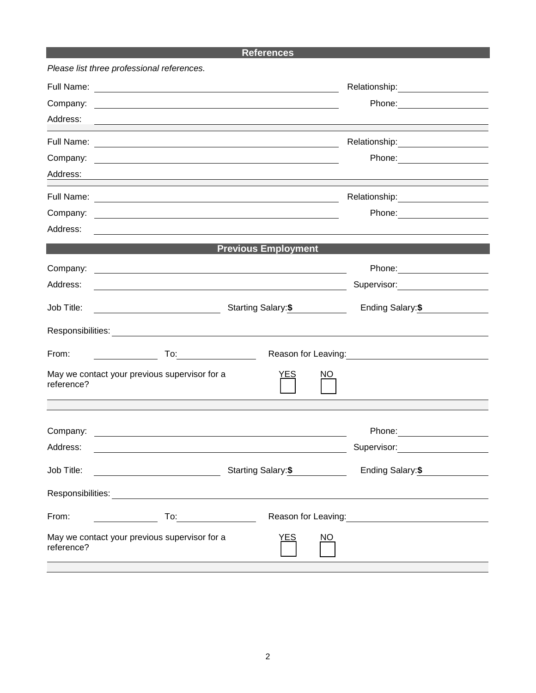## **References**

|            | Please list three professional references.                                                                                                                                                                                           |                                                                               |    |                                     |  |  |
|------------|--------------------------------------------------------------------------------------------------------------------------------------------------------------------------------------------------------------------------------------|-------------------------------------------------------------------------------|----|-------------------------------------|--|--|
|            |                                                                                                                                                                                                                                      |                                                                               |    | Relationship:<br><u> </u>           |  |  |
| Company:   |                                                                                                                                                                                                                                      |                                                                               |    | Phone: ______________________       |  |  |
| Address:   | <u> 1989 - Andrea Santana, amerikana amerikana amerikana amerikana amerikana amerikana amerikana amerikana amerika</u>                                                                                                               |                                                                               |    |                                     |  |  |
|            |                                                                                                                                                                                                                                      |                                                                               |    | Relationship: 2000                  |  |  |
| Company:   | <u> 2000 - Andrea Andrew Maria (h. 1888).</u>                                                                                                                                                                                        |                                                                               |    |                                     |  |  |
| Address:   |                                                                                                                                                                                                                                      |                                                                               |    |                                     |  |  |
|            |                                                                                                                                                                                                                                      |                                                                               |    | Relationship:<br><u> </u>           |  |  |
| Company:   |                                                                                                                                                                                                                                      | <u> 1989 - Johann Barn, amerikansk politiker (d. 1989)</u>                    |    |                                     |  |  |
| Address:   |                                                                                                                                                                                                                                      |                                                                               |    |                                     |  |  |
|            |                                                                                                                                                                                                                                      | <b>Previous Employment</b>                                                    |    |                                     |  |  |
| Company:   | <u>state and the state of the state of the state of the state of the state of the state of the state of the state of the state of the state of the state of the state of the state of the state of the state of the state of the</u> |                                                                               |    |                                     |  |  |
| Address:   |                                                                                                                                                                                                                                      |                                                                               |    | Supervisor: <u>_______</u> ________ |  |  |
| Job Title: |                                                                                                                                                                                                                                      | Starting Salary: \$                                                           |    |                                     |  |  |
|            |                                                                                                                                                                                                                                      |                                                                               |    |                                     |  |  |
| From:      | $\overline{a}$ To: $\overline{a}$ To:                                                                                                                                                                                                |                                                                               |    |                                     |  |  |
| reference? | May we contact your previous supervisor for a                                                                                                                                                                                        | <u>YES</u>                                                                    | NO |                                     |  |  |
|            |                                                                                                                                                                                                                                      |                                                                               |    |                                     |  |  |
| Company:   | <u> 1989 - John Stein, Amerikaansk politiker (</u>                                                                                                                                                                                   |                                                                               |    |                                     |  |  |
| Address:   |                                                                                                                                                                                                                                      |                                                                               |    | Supervisor:                         |  |  |
| Job Title: |                                                                                                                                                                                                                                      | Starting Salary:\$                                                            |    |                                     |  |  |
|            |                                                                                                                                                                                                                                      |                                                                               |    |                                     |  |  |
| From:      |                                                                                                                                                                                                                                      | To:_____________________<br>Reason for Leaving:<br><u>Neason</u> for Leaving: |    |                                     |  |  |
| reference? | May we contact your previous supervisor for a                                                                                                                                                                                        | <b>YES</b>                                                                    | NO |                                     |  |  |